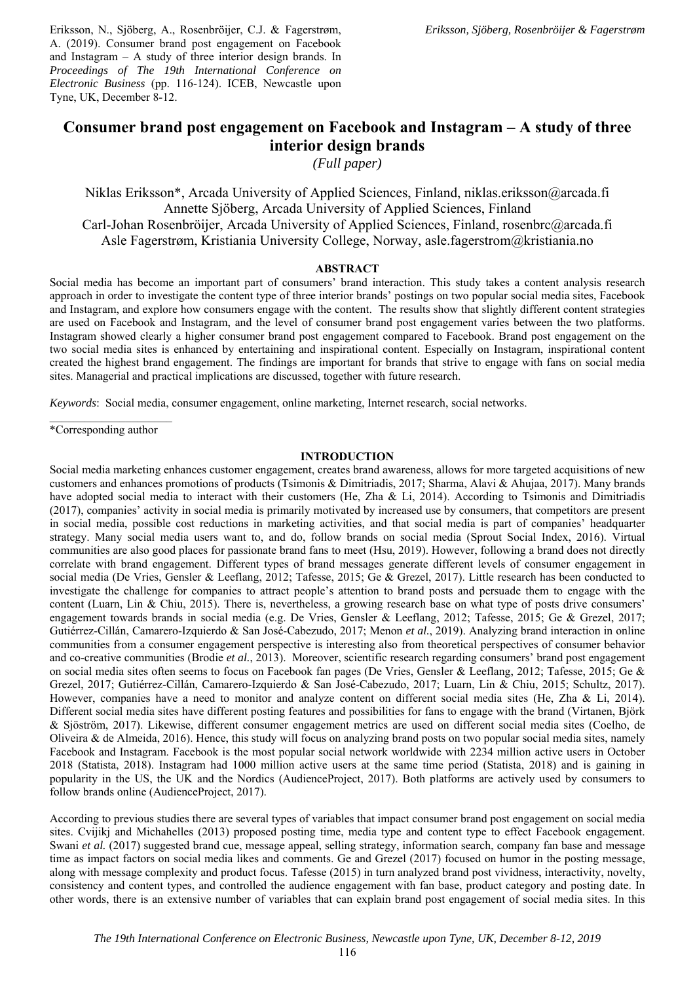Eriksson, N., Sjöberg, A., Rosenbröijer, C.J. & Fagerstrøm, A. (2019). Consumer brand post engagement on Facebook and Instagram – A study of three interior design brands. In *Proceedings of The 19th International Conference on Electronic Business* (pp. 116-124). ICEB, Newcastle upon Tyne, UK, December 8-12.

# **Consumer brand post engagement on Facebook and Instagram – A study of three interior design brands**

*(Full paper)* 

Niklas Eriksson\*, Arcada University of Applied Sciences, Finland, niklas.eriksson@arcada.fi Annette Sjöberg, Arcada University of Applied Sciences, Finland Carl-Johan Rosenbröijer, Arcada University of Applied Sciences, Finland, rosenbrc@arcada.fi Asle Fagerstrøm, Kristiania University College, Norway, asle.fagerstrom@kristiania.no

#### **ABSTRACT**

Social media has become an important part of consumers' brand interaction. This study takes a content analysis research approach in order to investigate the content type of three interior brands' postings on two popular social media sites, Facebook and Instagram, and explore how consumers engage with the content. The results show that slightly different content strategies are used on Facebook and Instagram, and the level of consumer brand post engagement varies between the two platforms. Instagram showed clearly a higher consumer brand post engagement compared to Facebook. Brand post engagement on the two social media sites is enhanced by entertaining and inspirational content. Especially on Instagram, inspirational content created the highest brand engagement. The findings are important for brands that strive to engage with fans on social media sites. Managerial and practical implications are discussed, together with future research.

*Keywords*: Social media, consumer engagement, online marketing, Internet research, social networks.

\*Corresponding author

#### **INTRODUCTION**

Social media marketing enhances customer engagement, creates brand awareness, allows for more targeted acquisitions of new customers and enhances promotions of products (Tsimonis & Dimitriadis, 2017; Sharma, Alavi & Ahujaa, 2017). Many brands have adopted social media to interact with their customers (He, Zha & Li, 2014). According to Tsimonis and Dimitriadis (2017), companies' activity in social media is primarily motivated by increased use by consumers, that competitors are present in social media, possible cost reductions in marketing activities, and that social media is part of companies' headquarter strategy. Many social media users want to, and do, follow brands on social media (Sprout Social Index, 2016). Virtual communities are also good places for passionate brand fans to meet (Hsu, 2019). However, following a brand does not directly correlate with brand engagement. Different types of brand messages generate different levels of consumer engagement in social media (De Vries, Gensler & Leeflang, 2012; Tafesse, 2015; Ge & Grezel, 2017). Little research has been conducted to investigate the challenge for companies to attract people's attention to brand posts and persuade them to engage with the content (Luarn, Lin & Chiu, 2015). There is, nevertheless, a growing research base on what type of posts drive consumers' engagement towards brands in social media (e.g. De Vries, Gensler & Leeflang, 2012; Tafesse, 2015; Ge & Grezel, 2017; Gutiérrez-Cillán, Camarero-Izquierdo & San José-Cabezudo, 2017; Menon *et al.*, 2019). Analyzing brand interaction in online communities from a consumer engagement perspective is interesting also from theoretical perspectives of consumer behavior and co-creative communities (Brodie *et al.*, 2013). Moreover, scientific research regarding consumers' brand post engagement on social media sites often seems to focus on Facebook fan pages (De Vries, Gensler & Leeflang, 2012; Tafesse, 2015; Ge & Grezel, 2017; Gutiérrez-Cillán, Camarero-Izquierdo & San José-Cabezudo, 2017; Luarn, Lin & Chiu, 2015; Schultz, 2017). However, companies have a need to monitor and analyze content on different social media sites (He, Zha & Li, 2014). Different social media sites have different posting features and possibilities for fans to engage with the brand (Virtanen, Björk & Sjöström, 2017). Likewise, different consumer engagement metrics are used on different social media sites (Coelho, de Oliveira & de Almeida, 2016). Hence, this study will focus on analyzing brand posts on two popular social media sites, namely Facebook and Instagram. Facebook is the most popular social network worldwide with 2234 million active users in October 2018 (Statista, 2018). Instagram had 1000 million active users at the same time period (Statista, 2018) and is gaining in popularity in the US, the UK and the Nordics (AudienceProject, 2017). Both platforms are actively used by consumers to follow brands online (AudienceProject, 2017).

According to previous studies there are several types of variables that impact consumer brand post engagement on social media sites. Cvijikj and Michahelles (2013) proposed posting time, media type and content type to effect Facebook engagement. Swani *et al.* (2017) suggested brand cue, message appeal, selling strategy, information search, company fan base and message time as impact factors on social media likes and comments. Ge and Grezel (2017) focused on humor in the posting message, along with message complexity and product focus. Tafesse (2015) in turn analyzed brand post vividness, interactivity, novelty, consistency and content types, and controlled the audience engagement with fan base, product category and posting date. In other words, there is an extensive number of variables that can explain brand post engagement of social media sites. In this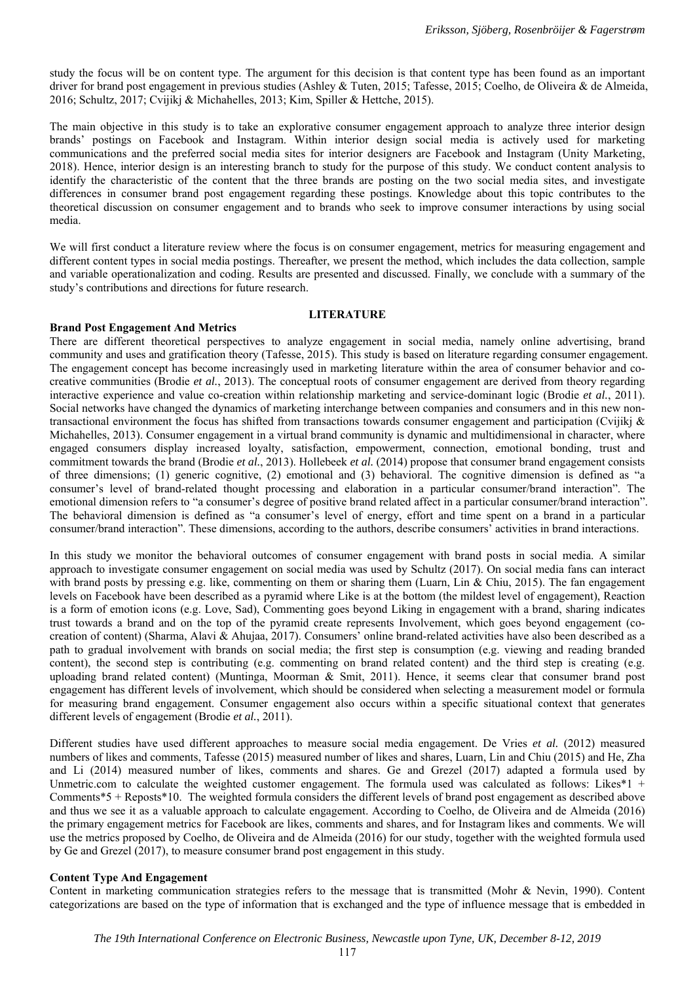study the focus will be on content type. The argument for this decision is that content type has been found as an important driver for brand post engagement in previous studies (Ashley & Tuten, 2015; Tafesse, 2015; Coelho, de Oliveira & de Almeida, 2016; Schultz, 2017; Cvijikj & Michahelles, 2013; Kim, Spiller & Hettche, 2015).

The main objective in this study is to take an explorative consumer engagement approach to analyze three interior design brands' postings on Facebook and Instagram. Within interior design social media is actively used for marketing communications and the preferred social media sites for interior designers are Facebook and Instagram (Unity Marketing, 2018). Hence, interior design is an interesting branch to study for the purpose of this study. We conduct content analysis to identify the characteristic of the content that the three brands are posting on the two social media sites, and investigate differences in consumer brand post engagement regarding these postings. Knowledge about this topic contributes to the theoretical discussion on consumer engagement and to brands who seek to improve consumer interactions by using social media.

We will first conduct a literature review where the focus is on consumer engagement, metrics for measuring engagement and different content types in social media postings. Thereafter, we present the method, which includes the data collection, sample and variable operationalization and coding. Results are presented and discussed. Finally, we conclude with a summary of the study's contributions and directions for future research.

#### **LITERATURE**

# **Brand Post Engagement And Metrics**

There are different theoretical perspectives to analyze engagement in social media, namely online advertising, brand community and uses and gratification theory (Tafesse, 2015). This study is based on literature regarding consumer engagement. The engagement concept has become increasingly used in marketing literature within the area of consumer behavior and cocreative communities (Brodie *et al.*, 2013). The conceptual roots of consumer engagement are derived from theory regarding interactive experience and value co-creation within relationship marketing and service-dominant logic (Brodie *et al.*, 2011). Social networks have changed the dynamics of marketing interchange between companies and consumers and in this new nontransactional environment the focus has shifted from transactions towards consumer engagement and participation (Cvijikj & Michahelles, 2013). Consumer engagement in a virtual brand community is dynamic and multidimensional in character, where engaged consumers display increased loyalty, satisfaction, empowerment, connection, emotional bonding, trust and commitment towards the brand (Brodie *et al.*, 2013). Hollebeek *et al.* (2014) propose that consumer brand engagement consists of three dimensions; (1) generic cognitive, (2) emotional and (3) behavioral. The cognitive dimension is defined as "a consumer's level of brand-related thought processing and elaboration in a particular consumer/brand interaction". The emotional dimension refers to "a consumer's degree of positive brand related affect in a particular consumer/brand interaction". The behavioral dimension is defined as "a consumer's level of energy, effort and time spent on a brand in a particular consumer/brand interaction". These dimensions, according to the authors, describe consumers' activities in brand interactions.

In this study we monitor the behavioral outcomes of consumer engagement with brand posts in social media. A similar approach to investigate consumer engagement on social media was used by Schultz (2017). On social media fans can interact with brand posts by pressing e.g. like, commenting on them or sharing them (Luarn, Lin  $\&$  Chiu, 2015). The fan engagement levels on Facebook have been described as a pyramid where Like is at the bottom (the mildest level of engagement), Reaction is a form of emotion icons (e.g. Love, Sad), Commenting goes beyond Liking in engagement with a brand, sharing indicates trust towards a brand and on the top of the pyramid create represents Involvement, which goes beyond engagement (cocreation of content) (Sharma, Alavi & Ahujaa, 2017). Consumers' online brand-related activities have also been described as a path to gradual involvement with brands on social media; the first step is consumption (e.g. viewing and reading branded content), the second step is contributing (e.g. commenting on brand related content) and the third step is creating (e.g. uploading brand related content) (Muntinga, Moorman & Smit, 2011). Hence, it seems clear that consumer brand post engagement has different levels of involvement, which should be considered when selecting a measurement model or formula for measuring brand engagement. Consumer engagement also occurs within a specific situational context that generates different levels of engagement (Brodie *et al.*, 2011).

Different studies have used different approaches to measure social media engagement. De Vries *et al.* (2012) measured numbers of likes and comments, Tafesse (2015) measured number of likes and shares, Luarn, Lin and Chiu (2015) and He, Zha and Li (2014) measured number of likes, comments and shares. Ge and Grezel (2017) adapted a formula used by Unmetric.com to calculate the weighted customer engagement. The formula used was calculated as follows: Likes\*1 + Comments\*5 + Reposts\*10. The weighted formula considers the different levels of brand post engagement as described above and thus we see it as a valuable approach to calculate engagement. According to Coelho, de Oliveira and de Almeida (2016) the primary engagement metrics for Facebook are likes, comments and shares, and for Instagram likes and comments. We will use the metrics proposed by Coelho, de Oliveira and de Almeida (2016) for our study, together with the weighted formula used by Ge and Grezel (2017), to measure consumer brand post engagement in this study.

# **Content Type And Engagement**

Content in marketing communication strategies refers to the message that is transmitted (Mohr & Nevin, 1990). Content categorizations are based on the type of information that is exchanged and the type of influence message that is embedded in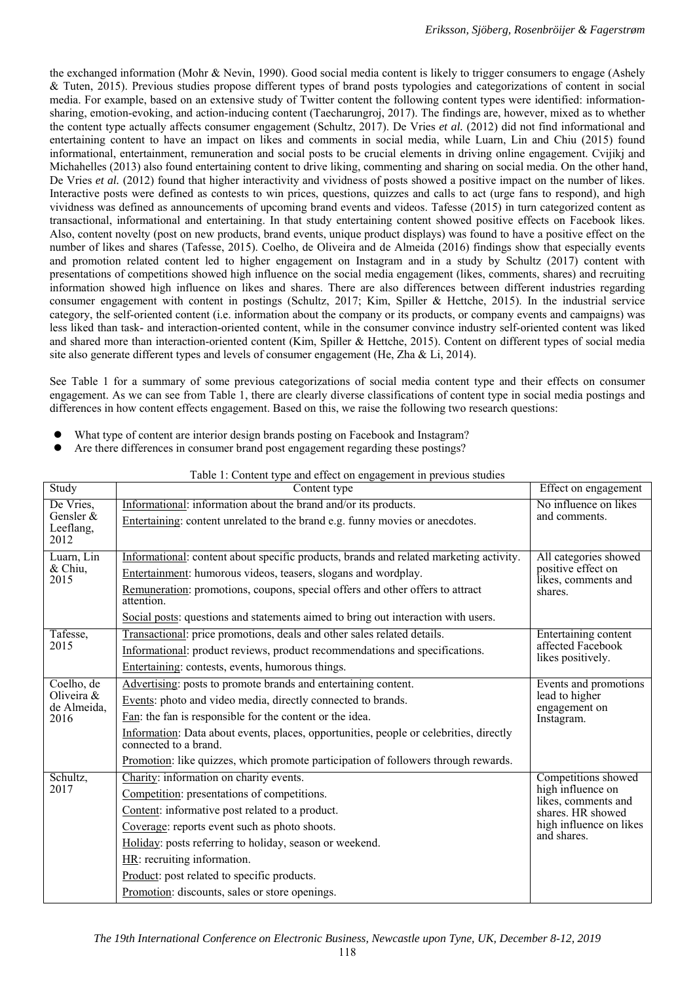the exchanged information (Mohr & Nevin, 1990). Good social media content is likely to trigger consumers to engage (Ashely & Tuten, 2015). Previous studies propose different types of brand posts typologies and categorizations of content in social media. For example, based on an extensive study of Twitter content the following content types were identified: informationsharing, emotion-evoking, and action-inducing content (Taecharungroj, 2017). The findings are, however, mixed as to whether the content type actually affects consumer engagement (Schultz, 2017). De Vries *et al.* (2012) did not find informational and entertaining content to have an impact on likes and comments in social media, while Luarn, Lin and Chiu (2015) found informational, entertainment, remuneration and social posts to be crucial elements in driving online engagement. Cvijikj and Michahelles (2013) also found entertaining content to drive liking, commenting and sharing on social media. On the other hand, De Vries *et al.* (2012) found that higher interactivity and vividness of posts showed a positive impact on the number of likes. Interactive posts were defined as contests to win prices, questions, quizzes and calls to act (urge fans to respond), and high vividness was defined as announcements of upcoming brand events and videos. Tafesse (2015) in turn categorized content as transactional, informational and entertaining. In that study entertaining content showed positive effects on Facebook likes. Also, content novelty (post on new products, brand events, unique product displays) was found to have a positive effect on the number of likes and shares (Tafesse, 2015). Coelho, de Oliveira and de Almeida (2016) findings show that especially events and promotion related content led to higher engagement on Instagram and in a study by Schultz (2017) content with presentations of competitions showed high influence on the social media engagement (likes, comments, shares) and recruiting information showed high influence on likes and shares. There are also differences between different industries regarding consumer engagement with content in postings (Schultz, 2017; Kim, Spiller & Hettche, 2015). In the industrial service category, the self-oriented content (i.e. information about the company or its products, or company events and campaigns) was less liked than task- and interaction-oriented content, while in the consumer convince industry self-oriented content was liked and shared more than interaction-oriented content (Kim, Spiller & Hettche, 2015). Content on different types of social media site also generate different types and levels of consumer engagement (He, Zha & Li, 2014).

See Table 1 for a summary of some previous categorizations of social media content type and their effects on consumer engagement. As we can see from Table 1, there are clearly diverse classifications of content type in social media postings and differences in how content effects engagement. Based on this, we raise the following two research questions:

- What type of content are interior design brands posting on Facebook and Instagram?
- Are there differences in consumer brand post engagement regarding these postings?

| Table 1: Content type and effect on engagement in previous studies |                                                                                                                                                                                                                                                                                                                                                                                                     |                                                                                                                                |  |  |  |  |  |  |
|--------------------------------------------------------------------|-----------------------------------------------------------------------------------------------------------------------------------------------------------------------------------------------------------------------------------------------------------------------------------------------------------------------------------------------------------------------------------------------------|--------------------------------------------------------------------------------------------------------------------------------|--|--|--|--|--|--|
| Study                                                              | Content type                                                                                                                                                                                                                                                                                                                                                                                        | Effect on engagement                                                                                                           |  |  |  |  |  |  |
| De Vries,<br>Gensler &<br>Leeflang,<br>2012                        | Informational: information about the brand and/or its products.<br>Entertaining: content unrelated to the brand e.g. funny movies or anecdotes.                                                                                                                                                                                                                                                     | No influence on likes<br>and comments.                                                                                         |  |  |  |  |  |  |
| Luarn, Lin<br>& Chiu,<br>2015                                      | Informational: content about specific products, brands and related marketing activity.<br>Entertainment: humorous videos, teasers, slogans and wordplay.<br>Remuneration: promotions, coupons, special offers and other offers to attract<br>attention.<br>Social posts: questions and statements aimed to bring out interaction with users.                                                        | All categories showed<br>positive effect on<br>likes, comments and<br>shares.                                                  |  |  |  |  |  |  |
| Tafesse,<br>2015                                                   | Transactional: price promotions, deals and other sales related details.<br>Informational: product reviews, product recommendations and specifications.<br>Entertaining: contests, events, humorous things.                                                                                                                                                                                          | Entertaining content<br>affected Facebook<br>likes positively.                                                                 |  |  |  |  |  |  |
| Coelho, de<br>Oliveira $&$<br>de Almeida,<br>2016                  | Advertising: posts to promote brands and entertaining content.<br>Events: photo and video media, directly connected to brands.<br>Fan: the fan is responsible for the content or the idea.<br>Information: Data about events, places, opportunities, people or celebrities, directly<br>connected to a brand.<br>Promotion: like quizzes, which promote participation of followers through rewards. | Events and promotions<br>lead to higher<br>engagement on<br>Instagram.                                                         |  |  |  |  |  |  |
| Schultz,<br>2017                                                   | Charity: information on charity events.<br>Competition: presentations of competitions.<br>Content: informative post related to a product.<br>Coverage: reports event such as photo shoots.<br>Holiday: posts referring to holiday, season or weekend.<br>HR: recruiting information.<br>Product: post related to specific products.<br>Promotion: discounts, sales or store openings.               | Competitions showed<br>high influence on<br>likes, comments and<br>shares. HR showed<br>high influence on likes<br>and shares. |  |  |  |  |  |  |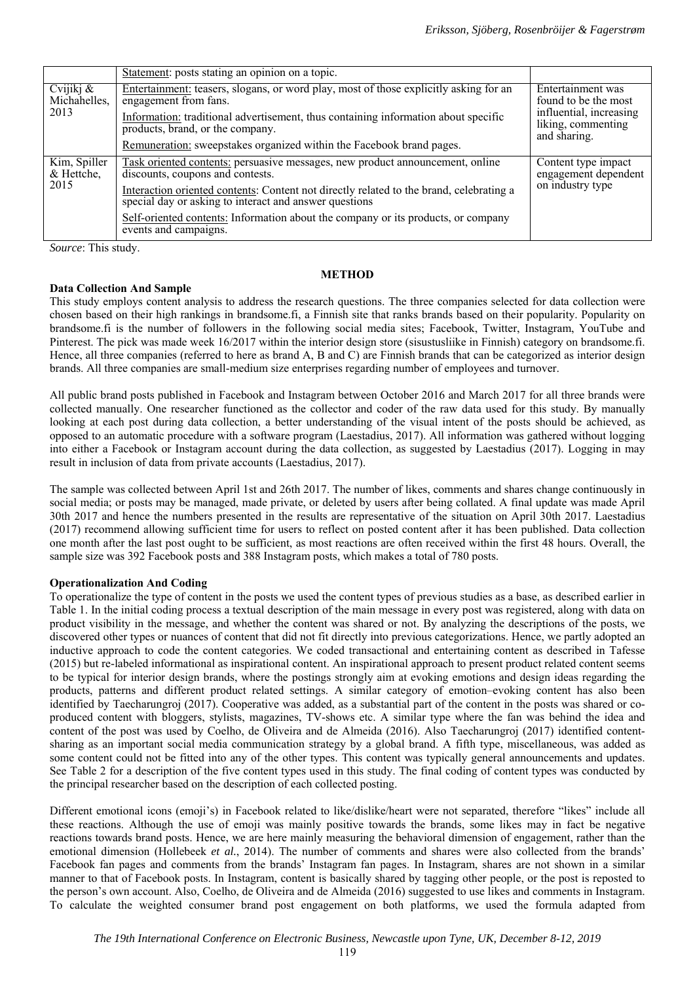|                                      | Statement: posts stating an opinion on a topic.                                                                                                   |                                                               |  |  |
|--------------------------------------|---------------------------------------------------------------------------------------------------------------------------------------------------|---------------------------------------------------------------|--|--|
| Cvijikj $\&$<br>Michahelles,<br>2013 | Entertainment: teasers, slogans, or word play, most of those explicitly asking for an<br>engagement from fans.                                    | Entertainment was<br>found to be the most                     |  |  |
|                                      | Information: traditional advertisement, thus containing information about specific<br>products, brand, or the company.                            | influential, increasing<br>liking, commenting<br>and sharing. |  |  |
|                                      | Remuneration: sweepstakes organized within the Facebook brand pages.                                                                              |                                                               |  |  |
| Kim, Spiller<br>& Hettche,<br>2015   | Task oriented contents: persuasive messages, new product announcement, online<br>discounts, coupons and contests.                                 | Content type impact<br>engagement dependent                   |  |  |
|                                      | Interaction oriented contents: Content not directly related to the brand, celebrating a<br>special day or asking to interact and answer questions | on industry type                                              |  |  |
|                                      | Self-oriented contents: Information about the company or its products, or company<br>events and campaigns.                                        |                                                               |  |  |

*Source*: This study.

#### **METHOD**

# **Data Collection And Sample**

This study employs content analysis to address the research questions. The three companies selected for data collection were chosen based on their high rankings in brandsome.fi, a Finnish site that ranks brands based on their popularity. Popularity on brandsome.fi is the number of followers in the following social media sites; Facebook, Twitter, Instagram, YouTube and Pinterest. The pick was made week 16/2017 within the interior design store (sisustusliike in Finnish) category on brandsome.fi. Hence, all three companies (referred to here as brand A, B and C) are Finnish brands that can be categorized as interior design brands. All three companies are small-medium size enterprises regarding number of employees and turnover.

All public brand posts published in Facebook and Instagram between October 2016 and March 2017 for all three brands were collected manually. One researcher functioned as the collector and coder of the raw data used for this study. By manually looking at each post during data collection, a better understanding of the visual intent of the posts should be achieved, as opposed to an automatic procedure with a software program (Laestadius, 2017). All information was gathered without logging into either a Facebook or Instagram account during the data collection, as suggested by Laestadius (2017). Logging in may result in inclusion of data from private accounts (Laestadius, 2017).

The sample was collected between April 1st and 26th 2017. The number of likes, comments and shares change continuously in social media; or posts may be managed, made private, or deleted by users after being collated. A final update was made April 30th 2017 and hence the numbers presented in the results are representative of the situation on April 30th 2017. Laestadius (2017) recommend allowing sufficient time for users to reflect on posted content after it has been published. Data collection one month after the last post ought to be sufficient, as most reactions are often received within the first 48 hours. Overall, the sample size was 392 Facebook posts and 388 Instagram posts, which makes a total of 780 posts.

# **Operationalization And Coding**

To operationalize the type of content in the posts we used the content types of previous studies as a base, as described earlier in Table 1. In the initial coding process a textual description of the main message in every post was registered, along with data on product visibility in the message, and whether the content was shared or not. By analyzing the descriptions of the posts, we discovered other types or nuances of content that did not fit directly into previous categorizations. Hence, we partly adopted an inductive approach to code the content categories. We coded transactional and entertaining content as described in Tafesse (2015) but re-labeled informational as inspirational content. An inspirational approach to present product related content seems to be typical for interior design brands, where the postings strongly aim at evoking emotions and design ideas regarding the products, patterns and different product related settings. A similar category of emotion–evoking content has also been identified by Taecharungroj (2017). Cooperative was added, as a substantial part of the content in the posts was shared or coproduced content with bloggers, stylists, magazines, TV-shows etc. A similar type where the fan was behind the idea and content of the post was used by Coelho, de Oliveira and de Almeida (2016). Also Taecharungroj (2017) identified contentsharing as an important social media communication strategy by a global brand. A fifth type, miscellaneous, was added as some content could not be fitted into any of the other types. This content was typically general announcements and updates. See Table 2 for a description of the five content types used in this study. The final coding of content types was conducted by the principal researcher based on the description of each collected posting.

Different emotional icons (emoji's) in Facebook related to like/dislike/heart were not separated, therefore "likes" include all these reactions. Although the use of emoji was mainly positive towards the brands, some likes may in fact be negative reactions towards brand posts. Hence, we are here mainly measuring the behavioral dimension of engagement, rather than the emotional dimension (Hollebeek *et al.*, 2014). The number of comments and shares were also collected from the brands' Facebook fan pages and comments from the brands' Instagram fan pages. In Instagram, shares are not shown in a similar manner to that of Facebook posts. In Instagram, content is basically shared by tagging other people, or the post is reposted to the person's own account. Also, Coelho, de Oliveira and de Almeida (2016) suggested to use likes and comments in Instagram. To calculate the weighted consumer brand post engagement on both platforms, we used the formula adapted from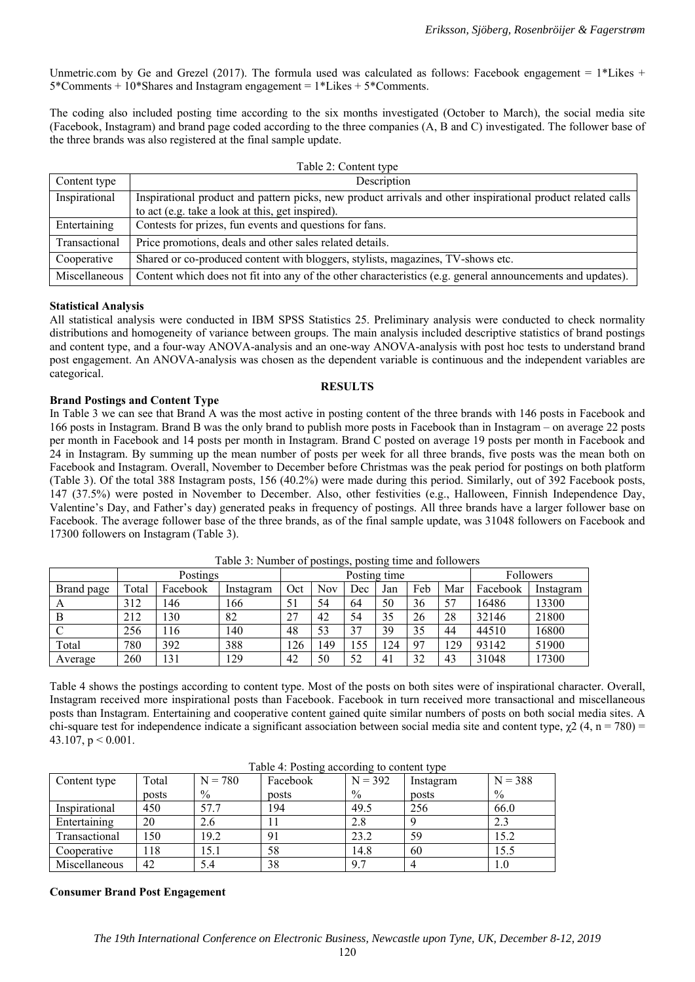Unmetric.com by Ge and Grezel (2017). The formula used was calculated as follows: Facebook engagement =  $1*$ Likes +  $5*Comments + 10<sup>*</sup>Shares and Instagram engagement =  $1*$ Likes +  $5*$ Comments.$ 

The coding also included posting time according to the six months investigated (October to March), the social media site (Facebook, Instagram) and brand page coded according to the three companies (A, B and C) investigated. The follower base of the three brands was also registered at the final sample update.

| Table 2: Content type |                                                                                                                                                                 |  |  |  |  |  |  |  |
|-----------------------|-----------------------------------------------------------------------------------------------------------------------------------------------------------------|--|--|--|--|--|--|--|
| Content type          | Description                                                                                                                                                     |  |  |  |  |  |  |  |
| Inspirational         | Inspirational product and pattern picks, new product arrivals and other inspirational product related calls<br>to act (e.g. take a look at this, get inspired). |  |  |  |  |  |  |  |
| Entertaining          | Contests for prizes, fun events and questions for fans.                                                                                                         |  |  |  |  |  |  |  |
| Transactional         | Price promotions, deals and other sales related details.                                                                                                        |  |  |  |  |  |  |  |
| Cooperative           | Shared or co-produced content with bloggers, stylists, magazines, TV-shows etc.                                                                                 |  |  |  |  |  |  |  |
| Miscellaneous         | Content which does not fit into any of the other characteristics (e.g. general announcements and updates).                                                      |  |  |  |  |  |  |  |

# **Statistical Analysis**

All statistical analysis were conducted in IBM SPSS Statistics 25. Preliminary analysis were conducted to check normality distributions and homogeneity of variance between groups. The main analysis included descriptive statistics of brand postings and content type, and a four-way ANOVA-analysis and an one-way ANOVA-analysis with post hoc tests to understand brand post engagement. An ANOVA-analysis was chosen as the dependent variable is continuous and the independent variables are categorical.

**RESULTS** 

# **Brand Postings and Content Type**

In Table 3 we can see that Brand A was the most active in posting content of the three brands with 146 posts in Facebook and 166 posts in Instagram. Brand B was the only brand to publish more posts in Facebook than in Instagram – on average 22 posts per month in Facebook and 14 posts per month in Instagram. Brand C posted on average 19 posts per month in Facebook and 24 in Instagram. By summing up the mean number of posts per week for all three brands, five posts was the mean both on Facebook and Instagram. Overall, November to December before Christmas was the peak period for postings on both platform (Table 3). Of the total 388 Instagram posts, 156 (40.2%) were made during this period. Similarly, out of 392 Facebook posts, 147 (37.5%) were posted in November to December. Also, other festivities (e.g., Halloween, Finnish Independence Day, Valentine's Day, and Father's day) generated peaks in frequency of postings. All three brands have a larger follower base on Facebook. The average follower base of the three brands, as of the final sample update, was 31048 followers on Facebook and 17300 followers on Instagram (Table 3).

|            | Postings |          |           |     | ັ<br>Posting time |     |     |                |     |          | Followers |  |
|------------|----------|----------|-----------|-----|-------------------|-----|-----|----------------|-----|----------|-----------|--|
| Brand page | Total    | Facebook | Instagram | Oct | <b>Nov</b>        | Dec | Jan | Feb            | Mar | Facebook | Instagram |  |
|            | 312      | 146      | 166       | 51  | 54                | 64  | 50  | 36             | 57  | 16486    | 13300     |  |
| B          | 212      | 130      | 82        | 27  | 42                | 54  | 35  | 26             | 28  | 32146    | 21800     |  |
|            | 256      | 116      | 140       | 48  | 53                | 37  | 39  | 35             | 44  | 44510    | 16800     |  |
| Total      | 780      | 392      | 388       | 126 | 49                | 155 | 124 | Q <sub>7</sub> | 129 | 93142    | 51900     |  |
| Average    | 260      | 131      | 129       | 42  | 50                | 52  | 41  | 32             | 43  | 31048    | 17300     |  |

Table 3: Number of postings, posting time and followers

Table 4 shows the postings according to content type. Most of the posts on both sites were of inspirational character. Overall, Instagram received more inspirational posts than Facebook. Facebook in turn received more transactional and miscellaneous posts than Instagram. Entertaining and cooperative content gained quite similar numbers of posts on both social media sites. A chi-square test for independence indicate a significant association between social media site and content type,  $\gamma$ 2 (4, n = 780) = 43.107,  $p < 0.001$ .

|               |       |               | $1400$ $\sigma$ $\tau$ . I $03$ thight according to content type |           |           |           |
|---------------|-------|---------------|------------------------------------------------------------------|-----------|-----------|-----------|
| Content type  | Total | $N = 780$     | Facebook                                                         | $N = 392$ | Instagram | $N = 388$ |
|               | posts | $\frac{0}{0}$ | posts                                                            | $\%$      | posts     | $\%$      |
| Inspirational | 450   | 57.7          | 194                                                              | 49.5      | 256       | 66.0      |
| Entertaining  | 20    | 2.6           |                                                                  | 2.8       |           | 2.3       |
| Transactional | 50ء   | 19.2          |                                                                  | 23.2      | 59        | 15.2      |
| Cooperative   | 118   | 15.1          | 58                                                               | 14.8      | 60        | 15.5      |
| Miscellaneous | 42    | 5.4           | 38                                                               | 9.7       |           | 1.0       |

Table 4: Posting according to content type

# **Consumer Brand Post Engagement**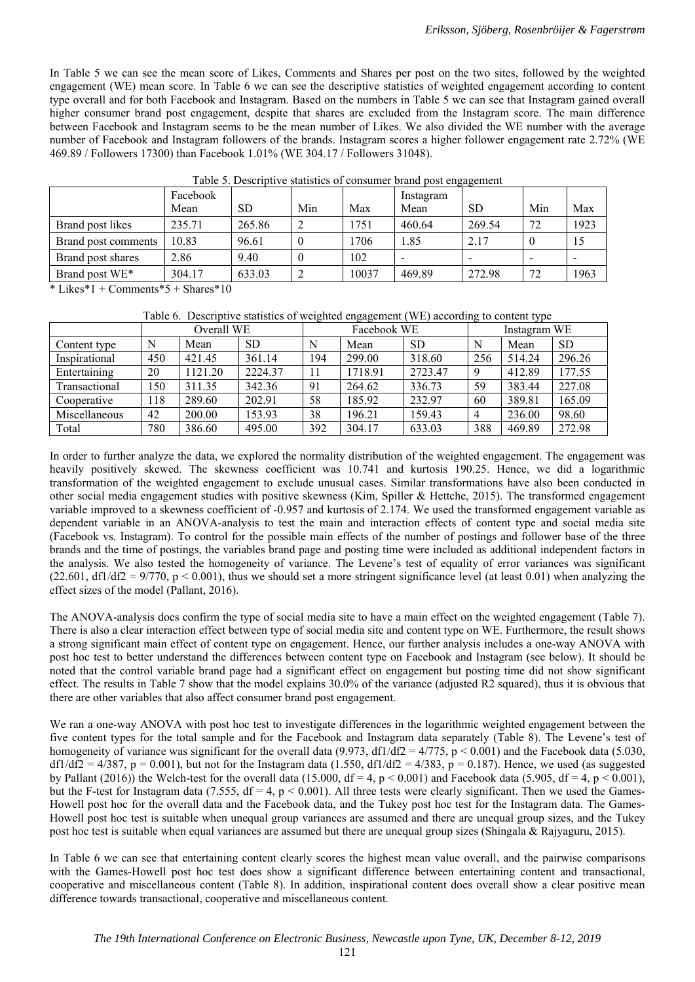In Table 5 we can see the mean score of Likes, Comments and Shares per post on the two sites, followed by the weighted engagement (WE) mean score. In Table 6 we can see the descriptive statistics of weighted engagement according to content type overall and for both Facebook and Instagram. Based on the numbers in Table 5 we can see that Instagram gained overall higher consumer brand post engagement, despite that shares are excluded from the Instagram score. The main difference between Facebook and Instagram seems to be the mean number of Likes. We also divided the WE number with the average number of Facebook and Instagram followers of the brands. Instagram scores a higher follower engagement rate 2.72% (WE 469.89 / Followers 17300) than Facebook 1.01% (WE 304.17 / Followers 31048).

| Table 9. Descriptive statistics of consumer brand post engagement |                  |        |     |       |                   |           |     |      |  |  |
|-------------------------------------------------------------------|------------------|--------|-----|-------|-------------------|-----------|-----|------|--|--|
|                                                                   | Facebook<br>Mean | SD     | Min | Max   | Instagram<br>Mean | <b>SD</b> | Min | Max  |  |  |
| Brand post likes                                                  | 235.71           | 265.86 |     | 1751  | 460.64            | 269.54    | 72  | 1923 |  |  |
| Brand post comments                                               | 10.83            | 96.61  |     | 1706  | 1.85              | 2.17      |     |      |  |  |
| Brand post shares                                                 | 2.86             | 9.40   |     | 102   |                   |           | -   |      |  |  |
| Brand post WE*                                                    | 304.17           | 633.03 |     | 10037 | 469.89            | 272.98    | 72  | 1963 |  |  |

Table 5. Descriptive statistics of consumer brand post engagement

\* Likes\*1 + Comments\* $5 +$ Shares\*10

|  |  |  |  | Table 6. Descriptive statistics of weighted engagement (WE) according to content type |
|--|--|--|--|---------------------------------------------------------------------------------------|
|  |  |  |  |                                                                                       |

|               | Overall WE |         |           |     | - -<br>Facebook WE |           | Instagram WE |        |           |
|---------------|------------|---------|-----------|-----|--------------------|-----------|--------------|--------|-----------|
| Content type  | N          | Mean    | <b>SD</b> | N   | Mean               | <b>SD</b> | N            | Mean   | <b>SD</b> |
| Inspirational | 450        | 421.45  | 361.14    | 194 | 299.00             | 318.60    | 256          | 514.24 | 296.26    |
| Entertaining  | 20         | 1121.20 | 2224.37   | 11  | 1718.91            | 2723.47   | 9            | 412.89 | 177.55    |
| Transactional | 150        | 311.35  | 342.36    | 91  | 264.62             | 336.73    | 59           | 383.44 | 227.08    |
| Cooperative   | 118        | 289.60  | 202.91    | 58  | 185.92             | 232.97    | 60           | 389.81 | 165.09    |
| Miscellaneous | 42         | 200.00  | 153.93    | 38  | 196.21             | 159.43    |              | 236.00 | 98.60     |
| Total         | 780        | 386.60  | 495.00    | 392 | 304.17             | 633.03    | 388          | 469.89 | 272.98    |

In order to further analyze the data, we explored the normality distribution of the weighted engagement. The engagement was heavily positively skewed. The skewness coefficient was 10.741 and kurtosis 190.25. Hence, we did a logarithmic transformation of the weighted engagement to exclude unusual cases. Similar transformations have also been conducted in other social media engagement studies with positive skewness (Kim, Spiller & Hettche, 2015). The transformed engagement variable improved to a skewness coefficient of -0.957 and kurtosis of 2.174. We used the transformed engagement variable as dependent variable in an ANOVA-analysis to test the main and interaction effects of content type and social media site (Facebook vs. Instagram). To control for the possible main effects of the number of postings and follower base of the three brands and the time of postings, the variables brand page and posting time were included as additional independent factors in the analysis. We also tested the homogeneity of variance. The Levene's test of equality of error variances was significant  $(22.601, df1/df2 = 9/770, p < 0.001)$ , thus we should set a more stringent significance level (at least 0.01) when analyzing the effect sizes of the model (Pallant, 2016).

The ANOVA-analysis does confirm the type of social media site to have a main effect on the weighted engagement (Table 7). There is also a clear interaction effect between type of social media site and content type on WE. Furthermore, the result shows a strong significant main effect of content type on engagement. Hence, our further analysis includes a one-way ANOVA with post hoc test to better understand the differences between content type on Facebook and Instagram (see below). It should be noted that the control variable brand page had a significant effect on engagement but posting time did not show significant effect. The results in Table 7 show that the model explains 30.0% of the variance (adjusted R2 squared), thus it is obvious that there are other variables that also affect consumer brand post engagement.

We ran a one-way ANOVA with post hoc test to investigate differences in the logarithmic weighted engagement between the five content types for the total sample and for the Facebook and Instagram data separately (Table 8). The Levene's test of homogeneity of variance was significant for the overall data (9.973, df1/df2 =  $4/775$ , p < 0.001) and the Facebook data (5.030,  $df1/df2 = 4/387$ ,  $p = 0.001$ , but not for the Instagram data (1.550,  $df1/df2 = 4/383$ ,  $p = 0.187$ ). Hence, we used (as suggested by Pallant (2016)) the Welch-test for the overall data (15.000, df = 4, p < 0.001) and Facebook data (5.905, df = 4, p < 0.001), but the F-test for Instagram data (7.555,  $df = 4$ ,  $p < 0.001$ ). All three tests were clearly significant. Then we used the Games-Howell post hoc for the overall data and the Facebook data, and the Tukey post hoc test for the Instagram data. The Games-Howell post hoc test is suitable when unequal group variances are assumed and there are unequal group sizes, and the Tukey post hoc test is suitable when equal variances are assumed but there are unequal group sizes (Shingala & Rajyaguru, 2015).

In Table 6 we can see that entertaining content clearly scores the highest mean value overall, and the pairwise comparisons with the Games-Howell post hoc test does show a significant difference between entertaining content and transactional, cooperative and miscellaneous content (Table 8). In addition, inspirational content does overall show a clear positive mean difference towards transactional, cooperative and miscellaneous content.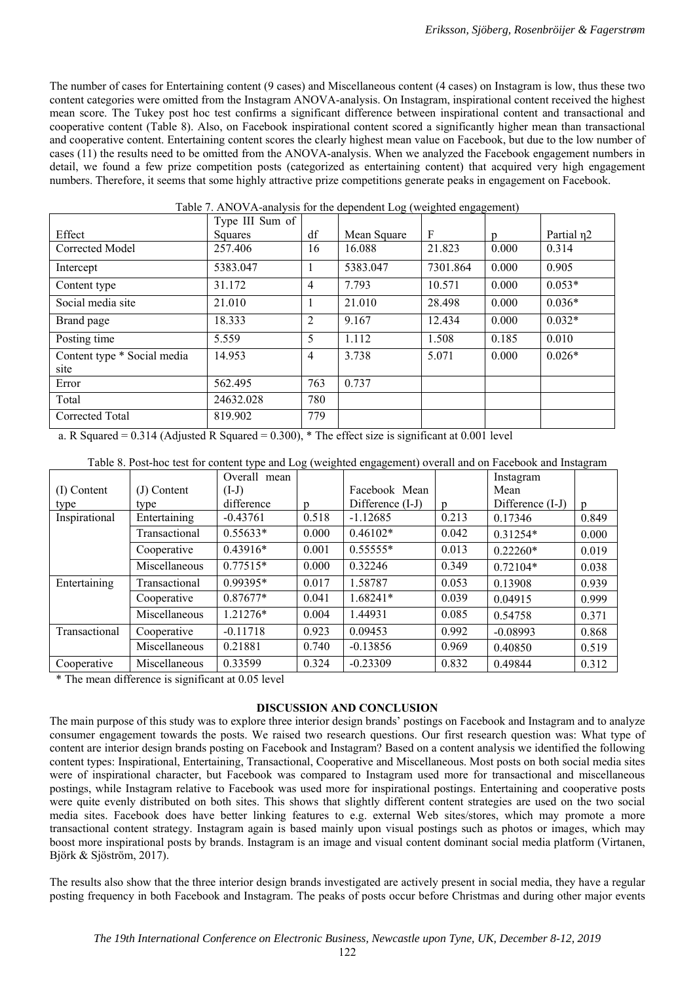The number of cases for Entertaining content (9 cases) and Miscellaneous content (4 cases) on Instagram is low, thus these two content categories were omitted from the Instagram ANOVA-analysis. On Instagram, inspirational content received the highest mean score. The Tukey post hoc test confirms a significant difference between inspirational content and transactional and cooperative content (Table 8). Also, on Facebook inspirational content scored a significantly higher mean than transactional and cooperative content. Entertaining content scores the clearly highest mean value on Facebook, but due to the low number of cases (11) the results need to be omitted from the ANOVA-analysis. When we analyzed the Facebook engagement numbers in detail, we found a few prize competition posts (categorized as entertaining content) that acquired very high engagement numbers. Therefore, it seems that some highly attractive prize competitions generate peaks in engagement on Facebook.

|                                     | Type III Sum of |                |             |          |       |                        |
|-------------------------------------|-----------------|----------------|-------------|----------|-------|------------------------|
| Effect                              | Squares         | df             | Mean Square | F        | n     | Partial n <sub>2</sub> |
| Corrected Model                     | 257.406         | 16             | 16.088      | 21.823   | 0.000 | 0.314                  |
| Intercept                           | 5383.047        | 1              | 5383.047    | 7301.864 | 0.000 | 0.905                  |
| Content type                        | 31.172          | $\overline{4}$ | 7.793       | 10.571   | 0.000 | $0.053*$               |
| Social media site                   | 21.010          | 1              | 21.010      | 28.498   | 0.000 | $0.036*$               |
| Brand page                          | 18.333          | $\overline{2}$ | 9.167       | 12.434   | 0.000 | $0.032*$               |
| Posting time                        | 5.559           | 5              | 1.112       | 1.508    | 0.185 | 0.010                  |
| Content type * Social media<br>site | 14.953          | $\overline{4}$ | 3.738       | 5.071    | 0.000 | $0.026*$               |
| Error                               | 562.495         | 763            | 0.737       |          |       |                        |
| Total                               | 24632.028       | 780            |             |          |       |                        |
| Corrected Total                     | 819.902         | 779            |             |          |       |                        |

Table 7. ANOVA-analysis for the dependent Log (weighted engagement)

a. R Squared = 0.314 (Adjusted R Squared = 0.300), \* The effect size is significant at 0.001 level

|               |               |              | $\sim$ $\sim$ | ັັ               |       |                  |                |
|---------------|---------------|--------------|---------------|------------------|-------|------------------|----------------|
|               |               | Overall mean |               |                  |       | Instagram        |                |
| (I) Content   | $(J)$ Content | $(I-J)$      |               | Facebook Mean    |       | Mean             |                |
| type          | type          | difference   | $\mathbf{D}$  | Difference (I-J) | D     | Difference (I-J) | $\mathfrak{p}$ |
| Inspirational | Entertaining  | $-0.43761$   | 0.518         | $-1.12685$       | 0.213 | 0.17346          | 0.849          |
|               | Transactional | $0.55633*$   | 0.000         | $0.46102*$       | 0.042 | $0.31254*$       | 0.000          |
|               | Cooperative   | $0.43916*$   | 0.001         | $0.55555*$       | 0.013 | $0.22260*$       | 0.019          |
|               | Miscellaneous | $0.77515*$   | 0.000         | 0.32246          | 0.349 | $0.72104*$       | 0.038          |
| Entertaining  | Transactional | $0.99395*$   | 0.017         | 1.58787          | 0.053 | 0.13908          | 0.939          |
|               | Cooperative   | $0.87677*$   | 0.041         | 1.68241*         | 0.039 | 0.04915          | 0.999          |
|               | Miscellaneous | 1.21276*     | 0.004         | 1.44931          | 0.085 | 0.54758          | 0.371          |
| Transactional | Cooperative   | $-0.11718$   | 0.923         | 0.09453          | 0.992 | $-0.08993$       | 0.868          |
|               | Miscellaneous | 0.21881      | 0.740         | $-0.13856$       | 0.969 | 0.40850          | 0.519          |
| Cooperative   | Miscellaneous | 0.33599      | 0.324         | $-0.23309$       | 0.832 | 0.49844          | 0.312          |

Table 8. Post-hoc test for content type and Log (weighted engagement) overall and on Facebook and Instagram

\* The mean difference is significant at 0.05 level

# **DISCUSSION AND CONCLUSION**

The main purpose of this study was to explore three interior design brands' postings on Facebook and Instagram and to analyze consumer engagement towards the posts. We raised two research questions. Our first research question was: What type of content are interior design brands posting on Facebook and Instagram? Based on a content analysis we identified the following content types: Inspirational, Entertaining, Transactional, Cooperative and Miscellaneous. Most posts on both social media sites were of inspirational character, but Facebook was compared to Instagram used more for transactional and miscellaneous postings, while Instagram relative to Facebook was used more for inspirational postings. Entertaining and cooperative posts were quite evenly distributed on both sites. This shows that slightly different content strategies are used on the two social media sites. Facebook does have better linking features to e.g. external Web sites/stores, which may promote a more transactional content strategy. Instagram again is based mainly upon visual postings such as photos or images, which may boost more inspirational posts by brands. Instagram is an image and visual content dominant social media platform (Virtanen, Björk & Sjöström, 2017).

The results also show that the three interior design brands investigated are actively present in social media, they have a regular posting frequency in both Facebook and Instagram. The peaks of posts occur before Christmas and during other major events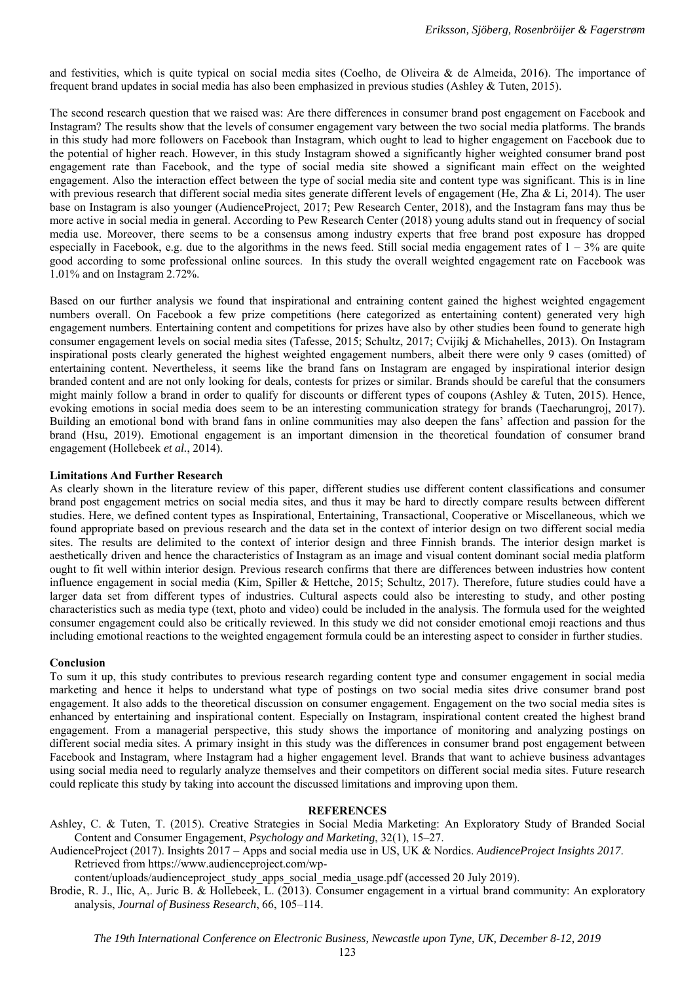and festivities, which is quite typical on social media sites (Coelho, de Oliveira & de Almeida, 2016). The importance of frequent brand updates in social media has also been emphasized in previous studies (Ashley & Tuten, 2015).

The second research question that we raised was: Are there differences in consumer brand post engagement on Facebook and Instagram? The results show that the levels of consumer engagement vary between the two social media platforms. The brands in this study had more followers on Facebook than Instagram, which ought to lead to higher engagement on Facebook due to the potential of higher reach. However, in this study Instagram showed a significantly higher weighted consumer brand post engagement rate than Facebook, and the type of social media site showed a significant main effect on the weighted engagement. Also the interaction effect between the type of social media site and content type was significant. This is in line with previous research that different social media sites generate different levels of engagement (He, Zha & Li, 2014). The user base on Instagram is also younger (AudienceProject, 2017; Pew Research Center, 2018), and the Instagram fans may thus be more active in social media in general. According to Pew Research Center (2018) young adults stand out in frequency of social media use. Moreover, there seems to be a consensus among industry experts that free brand post exposure has dropped especially in Facebook, e.g. due to the algorithms in the news feed. Still social media engagement rates of  $1 - 3%$  are quite good according to some professional online sources. In this study the overall weighted engagement rate on Facebook was 1.01% and on Instagram 2.72%.

Based on our further analysis we found that inspirational and entraining content gained the highest weighted engagement numbers overall. On Facebook a few prize competitions (here categorized as entertaining content) generated very high engagement numbers. Entertaining content and competitions for prizes have also by other studies been found to generate high consumer engagement levels on social media sites (Tafesse, 2015; Schultz, 2017; Cvijikj & Michahelles, 2013). On Instagram inspirational posts clearly generated the highest weighted engagement numbers, albeit there were only 9 cases (omitted) of entertaining content. Nevertheless, it seems like the brand fans on Instagram are engaged by inspirational interior design branded content and are not only looking for deals, contests for prizes or similar. Brands should be careful that the consumers might mainly follow a brand in order to qualify for discounts or different types of coupons (Ashley & Tuten, 2015). Hence, evoking emotions in social media does seem to be an interesting communication strategy for brands (Taecharungroj, 2017). Building an emotional bond with brand fans in online communities may also deepen the fans' affection and passion for the brand (Hsu, 2019). Emotional engagement is an important dimension in the theoretical foundation of consumer brand engagement (Hollebeek *et al.*, 2014).

#### **Limitations And Further Research**

As clearly shown in the literature review of this paper, different studies use different content classifications and consumer brand post engagement metrics on social media sites, and thus it may be hard to directly compare results between different studies. Here, we defined content types as Inspirational, Entertaining, Transactional, Cooperative or Miscellaneous, which we found appropriate based on previous research and the data set in the context of interior design on two different social media sites. The results are delimited to the context of interior design and three Finnish brands. The interior design market is aesthetically driven and hence the characteristics of Instagram as an image and visual content dominant social media platform ought to fit well within interior design. Previous research confirms that there are differences between industries how content influence engagement in social media (Kim, Spiller & Hettche, 2015; Schultz, 2017). Therefore, future studies could have a larger data set from different types of industries. Cultural aspects could also be interesting to study, and other posting characteristics such as media type (text, photo and video) could be included in the analysis. The formula used for the weighted consumer engagement could also be critically reviewed. In this study we did not consider emotional emoji reactions and thus including emotional reactions to the weighted engagement formula could be an interesting aspect to consider in further studies.

#### **Conclusion**

To sum it up, this study contributes to previous research regarding content type and consumer engagement in social media marketing and hence it helps to understand what type of postings on two social media sites drive consumer brand post engagement. It also adds to the theoretical discussion on consumer engagement. Engagement on the two social media sites is enhanced by entertaining and inspirational content. Especially on Instagram, inspirational content created the highest brand engagement. From a managerial perspective, this study shows the importance of monitoring and analyzing postings on different social media sites. A primary insight in this study was the differences in consumer brand post engagement between Facebook and Instagram, where Instagram had a higher engagement level. Brands that want to achieve business advantages using social media need to regularly analyze themselves and their competitors on different social media sites. Future research could replicate this study by taking into account the discussed limitations and improving upon them.

#### **REFERENCES**

- Ashley, C. & Tuten, T. (2015). Creative Strategies in Social Media Marketing: An Exploratory Study of Branded Social Content and Consumer Engagement, *Psychology and Marketing*, 32(1), 15–27.
- AudienceProject (2017). Insights 2017 Apps and social media use in US, UK & Nordics. *AudienceProject Insights 2017*. Retrieved from https://www.audienceproject.com/wp-

content/uploads/audienceproject\_study\_apps\_social\_media\_usage.pdf (accessed 20 July 2019).

Brodie, R. J., Ilic, A,. Juric B. & Hollebeek, L. (2013). Consumer engagement in a virtual brand community: An exploratory analysis, *Journal of Business Research*, 66, 105–114.